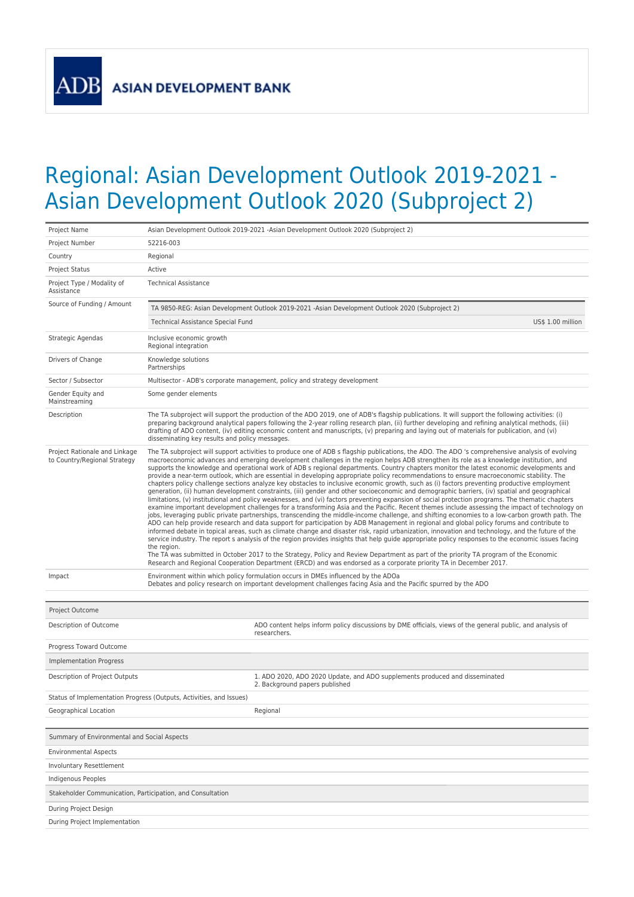**ADB** 

## Regional: Asian Development Outlook 2019-2021 - Asian Development Outlook 2020 (Subproject 2)

| Project Name                                                        | Asian Development Outlook 2019-2021 -Asian Development Outlook 2020 (Subproject 2)                                                                                                                                                                                                                                                                                                                                                                                                                                                                                                                                                                                                                                                                                                                                                                                                                                                                                                                                                                                                                                                                                                                                                                                                                                                                                                                                                                                                                                                                                                                                                                                                                                                                                                                                                                                                                                                                                                                                                                                           |  |  |  |  |  |
|---------------------------------------------------------------------|------------------------------------------------------------------------------------------------------------------------------------------------------------------------------------------------------------------------------------------------------------------------------------------------------------------------------------------------------------------------------------------------------------------------------------------------------------------------------------------------------------------------------------------------------------------------------------------------------------------------------------------------------------------------------------------------------------------------------------------------------------------------------------------------------------------------------------------------------------------------------------------------------------------------------------------------------------------------------------------------------------------------------------------------------------------------------------------------------------------------------------------------------------------------------------------------------------------------------------------------------------------------------------------------------------------------------------------------------------------------------------------------------------------------------------------------------------------------------------------------------------------------------------------------------------------------------------------------------------------------------------------------------------------------------------------------------------------------------------------------------------------------------------------------------------------------------------------------------------------------------------------------------------------------------------------------------------------------------------------------------------------------------------------------------------------------------|--|--|--|--|--|
| Project Number                                                      | 52216-003                                                                                                                                                                                                                                                                                                                                                                                                                                                                                                                                                                                                                                                                                                                                                                                                                                                                                                                                                                                                                                                                                                                                                                                                                                                                                                                                                                                                                                                                                                                                                                                                                                                                                                                                                                                                                                                                                                                                                                                                                                                                    |  |  |  |  |  |
| Country                                                             | Regional                                                                                                                                                                                                                                                                                                                                                                                                                                                                                                                                                                                                                                                                                                                                                                                                                                                                                                                                                                                                                                                                                                                                                                                                                                                                                                                                                                                                                                                                                                                                                                                                                                                                                                                                                                                                                                                                                                                                                                                                                                                                     |  |  |  |  |  |
| <b>Project Status</b>                                               | Active                                                                                                                                                                                                                                                                                                                                                                                                                                                                                                                                                                                                                                                                                                                                                                                                                                                                                                                                                                                                                                                                                                                                                                                                                                                                                                                                                                                                                                                                                                                                                                                                                                                                                                                                                                                                                                                                                                                                                                                                                                                                       |  |  |  |  |  |
| Project Type / Modality of<br>Assistance                            | <b>Technical Assistance</b>                                                                                                                                                                                                                                                                                                                                                                                                                                                                                                                                                                                                                                                                                                                                                                                                                                                                                                                                                                                                                                                                                                                                                                                                                                                                                                                                                                                                                                                                                                                                                                                                                                                                                                                                                                                                                                                                                                                                                                                                                                                  |  |  |  |  |  |
| Source of Funding / Amount                                          | TA 9850-REG: Asian Development Outlook 2019-2021 -Asian Development Outlook 2020 (Subproject 2)                                                                                                                                                                                                                                                                                                                                                                                                                                                                                                                                                                                                                                                                                                                                                                                                                                                                                                                                                                                                                                                                                                                                                                                                                                                                                                                                                                                                                                                                                                                                                                                                                                                                                                                                                                                                                                                                                                                                                                              |  |  |  |  |  |
|                                                                     | Technical Assistance Special Fund<br>US\$ 1.00 million                                                                                                                                                                                                                                                                                                                                                                                                                                                                                                                                                                                                                                                                                                                                                                                                                                                                                                                                                                                                                                                                                                                                                                                                                                                                                                                                                                                                                                                                                                                                                                                                                                                                                                                                                                                                                                                                                                                                                                                                                       |  |  |  |  |  |
| Strategic Agendas                                                   | Inclusive economic growth<br>Regional integration                                                                                                                                                                                                                                                                                                                                                                                                                                                                                                                                                                                                                                                                                                                                                                                                                                                                                                                                                                                                                                                                                                                                                                                                                                                                                                                                                                                                                                                                                                                                                                                                                                                                                                                                                                                                                                                                                                                                                                                                                            |  |  |  |  |  |
| Drivers of Change                                                   | Knowledge solutions<br>Partnerships                                                                                                                                                                                                                                                                                                                                                                                                                                                                                                                                                                                                                                                                                                                                                                                                                                                                                                                                                                                                                                                                                                                                                                                                                                                                                                                                                                                                                                                                                                                                                                                                                                                                                                                                                                                                                                                                                                                                                                                                                                          |  |  |  |  |  |
| Sector / Subsector                                                  | Multisector - ADB's corporate management, policy and strategy development                                                                                                                                                                                                                                                                                                                                                                                                                                                                                                                                                                                                                                                                                                                                                                                                                                                                                                                                                                                                                                                                                                                                                                                                                                                                                                                                                                                                                                                                                                                                                                                                                                                                                                                                                                                                                                                                                                                                                                                                    |  |  |  |  |  |
| Gender Equity and<br>Mainstreaming                                  | Some gender elements                                                                                                                                                                                                                                                                                                                                                                                                                                                                                                                                                                                                                                                                                                                                                                                                                                                                                                                                                                                                                                                                                                                                                                                                                                                                                                                                                                                                                                                                                                                                                                                                                                                                                                                                                                                                                                                                                                                                                                                                                                                         |  |  |  |  |  |
| Description                                                         | The TA subproject will support the production of the ADO 2019, one of ADB's flagship publications. It will support the following activities: (i)<br>preparing background analytical papers following the 2-year rolling research plan, (ii) further developing and refining analytical methods, (iii)<br>drafting of ADO content, (iv) editing economic content and manuscripts, (v) preparing and laying out of materials for publication, and (vi)<br>disseminating key results and policy messages.                                                                                                                                                                                                                                                                                                                                                                                                                                                                                                                                                                                                                                                                                                                                                                                                                                                                                                                                                                                                                                                                                                                                                                                                                                                                                                                                                                                                                                                                                                                                                                       |  |  |  |  |  |
| Project Rationale and Linkage<br>to Country/Regional Strategy       | The TA subproject will support activities to produce one of ADB s flagship publications, the ADO. The ADO 's comprehensive analysis of evolving<br>macroeconomic advances and emerging development challenges in the region helps ADB strengthen its role as a knowledge institution, and<br>supports the knowledge and operational work of ADB s regional departments. Country chapters monitor the latest economic developments and<br>provide a near-term outlook, which are essential in developing appropriate policy recommendations to ensure macroeconomic stability. The<br>chapters policy challenge sections analyze key obstacles to inclusive economic growth, such as (i) factors preventing productive employment<br>generation, (ii) human development constraints, (iii) gender and other socioeconomic and demographic barriers, (iv) spatial and geographical<br>limitations, (v) institutional and policy weaknesses, and (vi) factors preventing expansion of social protection programs. The thematic chapters<br>examine important development challenges for a transforming Asia and the Pacific. Recent themes include assessing the impact of technology on<br>jobs, leveraging public private partnerships, transcending the middle-income challenge, and shifting economies to a low-carbon growth path. The<br>ADO can help provide research and data support for participation by ADB Management in regional and global policy forums and contribute to<br>informed debate in topical areas, such as climate change and disaster risk, rapid urbanization, innovation and technology, and the future of the<br>service industry. The report s analysis of the region provides insights that help guide appropriate policy responses to the economic issues facing<br>the region.<br>The TA was submitted in October 2017 to the Strategy, Policy and Review Department as part of the priority TA program of the Economic<br>Research and Regional Cooperation Department (ERCD) and was endorsed as a corporate priority TA in December 2017. |  |  |  |  |  |
| Impact                                                              | Environment within which policy formulation occurs in DMEs influenced by the ADOa<br>Debates and policy research on important development challenges facing Asia and the Pacific spurred by the ADO                                                                                                                                                                                                                                                                                                                                                                                                                                                                                                                                                                                                                                                                                                                                                                                                                                                                                                                                                                                                                                                                                                                                                                                                                                                                                                                                                                                                                                                                                                                                                                                                                                                                                                                                                                                                                                                                          |  |  |  |  |  |
|                                                                     |                                                                                                                                                                                                                                                                                                                                                                                                                                                                                                                                                                                                                                                                                                                                                                                                                                                                                                                                                                                                                                                                                                                                                                                                                                                                                                                                                                                                                                                                                                                                                                                                                                                                                                                                                                                                                                                                                                                                                                                                                                                                              |  |  |  |  |  |
| Project Outcome                                                     |                                                                                                                                                                                                                                                                                                                                                                                                                                                                                                                                                                                                                                                                                                                                                                                                                                                                                                                                                                                                                                                                                                                                                                                                                                                                                                                                                                                                                                                                                                                                                                                                                                                                                                                                                                                                                                                                                                                                                                                                                                                                              |  |  |  |  |  |
| Description of Outcome                                              | ADO content helps inform policy discussions by DME officials, views of the general public, and analysis of<br>researchers.                                                                                                                                                                                                                                                                                                                                                                                                                                                                                                                                                                                                                                                                                                                                                                                                                                                                                                                                                                                                                                                                                                                                                                                                                                                                                                                                                                                                                                                                                                                                                                                                                                                                                                                                                                                                                                                                                                                                                   |  |  |  |  |  |
| Progress Toward Outcome                                             |                                                                                                                                                                                                                                                                                                                                                                                                                                                                                                                                                                                                                                                                                                                                                                                                                                                                                                                                                                                                                                                                                                                                                                                                                                                                                                                                                                                                                                                                                                                                                                                                                                                                                                                                                                                                                                                                                                                                                                                                                                                                              |  |  |  |  |  |
| <b>Implementation Progress</b>                                      |                                                                                                                                                                                                                                                                                                                                                                                                                                                                                                                                                                                                                                                                                                                                                                                                                                                                                                                                                                                                                                                                                                                                                                                                                                                                                                                                                                                                                                                                                                                                                                                                                                                                                                                                                                                                                                                                                                                                                                                                                                                                              |  |  |  |  |  |
| Description of Project Outputs                                      | 1. ADO 2020, ADO 2020 Update, and ADO supplements produced and disseminated<br>2. Background papers published                                                                                                                                                                                                                                                                                                                                                                                                                                                                                                                                                                                                                                                                                                                                                                                                                                                                                                                                                                                                                                                                                                                                                                                                                                                                                                                                                                                                                                                                                                                                                                                                                                                                                                                                                                                                                                                                                                                                                                |  |  |  |  |  |
| Status of Implementation Progress (Outputs, Activities, and Issues) |                                                                                                                                                                                                                                                                                                                                                                                                                                                                                                                                                                                                                                                                                                                                                                                                                                                                                                                                                                                                                                                                                                                                                                                                                                                                                                                                                                                                                                                                                                                                                                                                                                                                                                                                                                                                                                                                                                                                                                                                                                                                              |  |  |  |  |  |
| Geographical Location                                               | Regional                                                                                                                                                                                                                                                                                                                                                                                                                                                                                                                                                                                                                                                                                                                                                                                                                                                                                                                                                                                                                                                                                                                                                                                                                                                                                                                                                                                                                                                                                                                                                                                                                                                                                                                                                                                                                                                                                                                                                                                                                                                                     |  |  |  |  |  |
|                                                                     |                                                                                                                                                                                                                                                                                                                                                                                                                                                                                                                                                                                                                                                                                                                                                                                                                                                                                                                                                                                                                                                                                                                                                                                                                                                                                                                                                                                                                                                                                                                                                                                                                                                                                                                                                                                                                                                                                                                                                                                                                                                                              |  |  |  |  |  |
| Summary of Environmental and Social Aspects                         |                                                                                                                                                                                                                                                                                                                                                                                                                                                                                                                                                                                                                                                                                                                                                                                                                                                                                                                                                                                                                                                                                                                                                                                                                                                                                                                                                                                                                                                                                                                                                                                                                                                                                                                                                                                                                                                                                                                                                                                                                                                                              |  |  |  |  |  |
| <b>Environmental Aspects</b>                                        |                                                                                                                                                                                                                                                                                                                                                                                                                                                                                                                                                                                                                                                                                                                                                                                                                                                                                                                                                                                                                                                                                                                                                                                                                                                                                                                                                                                                                                                                                                                                                                                                                                                                                                                                                                                                                                                                                                                                                                                                                                                                              |  |  |  |  |  |
| Involuntary Resettlement                                            |                                                                                                                                                                                                                                                                                                                                                                                                                                                                                                                                                                                                                                                                                                                                                                                                                                                                                                                                                                                                                                                                                                                                                                                                                                                                                                                                                                                                                                                                                                                                                                                                                                                                                                                                                                                                                                                                                                                                                                                                                                                                              |  |  |  |  |  |
| Indigenous Peoples                                                  |                                                                                                                                                                                                                                                                                                                                                                                                                                                                                                                                                                                                                                                                                                                                                                                                                                                                                                                                                                                                                                                                                                                                                                                                                                                                                                                                                                                                                                                                                                                                                                                                                                                                                                                                                                                                                                                                                                                                                                                                                                                                              |  |  |  |  |  |
| Stakeholder Communication, Participation, and Consultation          |                                                                                                                                                                                                                                                                                                                                                                                                                                                                                                                                                                                                                                                                                                                                                                                                                                                                                                                                                                                                                                                                                                                                                                                                                                                                                                                                                                                                                                                                                                                                                                                                                                                                                                                                                                                                                                                                                                                                                                                                                                                                              |  |  |  |  |  |
| During Project Design                                               |                                                                                                                                                                                                                                                                                                                                                                                                                                                                                                                                                                                                                                                                                                                                                                                                                                                                                                                                                                                                                                                                                                                                                                                                                                                                                                                                                                                                                                                                                                                                                                                                                                                                                                                                                                                                                                                                                                                                                                                                                                                                              |  |  |  |  |  |
| During Project Implementation                                       |                                                                                                                                                                                                                                                                                                                                                                                                                                                                                                                                                                                                                                                                                                                                                                                                                                                                                                                                                                                                                                                                                                                                                                                                                                                                                                                                                                                                                                                                                                                                                                                                                                                                                                                                                                                                                                                                                                                                                                                                                                                                              |  |  |  |  |  |
|                                                                     |                                                                                                                                                                                                                                                                                                                                                                                                                                                                                                                                                                                                                                                                                                                                                                                                                                                                                                                                                                                                                                                                                                                                                                                                                                                                                                                                                                                                                                                                                                                                                                                                                                                                                                                                                                                                                                                                                                                                                                                                                                                                              |  |  |  |  |  |